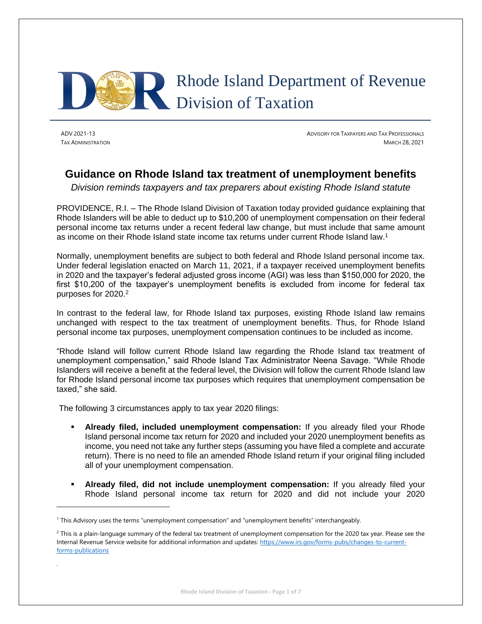

.

ADV 2021-13 ADVISORY FOR TAXPAYERS AND TAX PROFESSIONALS TAX ADMINISTRATION MARCH 28, 2021

# **Guidance on Rhode Island tax treatment of unemployment benefits**

*Division reminds taxpayers and tax preparers about existing Rhode Island statute*

PROVIDENCE, R.I. – The Rhode Island Division of Taxation today provided guidance explaining that Rhode Islanders will be able to deduct up to \$10,200 of unemployment compensation on their federal personal income tax returns under a recent federal law change, but must include that same amount as income on their Rhode Island state income tax returns under current Rhode Island law.<sup>1</sup>

Normally, unemployment benefits are subject to both federal and Rhode Island personal income tax. Under federal legislation enacted on March 11, 2021, if a taxpayer received unemployment benefits in 2020 and the taxpayer's federal adjusted gross income (AGI) was less than \$150,000 for 2020, the first \$10,200 of the taxpayer's unemployment benefits is excluded from income for federal tax purposes for 2020.<sup>2</sup>

In contrast to the federal law, for Rhode Island tax purposes, existing Rhode Island law remains unchanged with respect to the tax treatment of unemployment benefits. Thus, for Rhode Island personal income tax purposes, unemployment compensation continues to be included as income.

"Rhode Island will follow current Rhode Island law regarding the Rhode Island tax treatment of unemployment compensation," said Rhode Island Tax Administrator Neena Savage. "While Rhode Islanders will receive a benefit at the federal level, the Division will follow the current Rhode Island law for Rhode Island personal income tax purposes which requires that unemployment compensation be taxed," she said.

The following 3 circumstances apply to tax year 2020 filings:

- **Already filed, included unemployment compensation:** If you already filed your Rhode Island personal income tax return for 2020 and included your 2020 unemployment benefits as income, you need not take any further steps (assuming you have filed a complete and accurate return). There is no need to file an amended Rhode Island return if your original filing included all of your unemployment compensation.
- **Already filed, did not include unemployment compensation:** If you already filed your Rhode Island personal income tax return for 2020 and did not include your 2020

<sup>1</sup> This Advisory uses the terms "unemployment compensation" and "unemployment benefits" interchangeably.

 $2$  This is a plain-language summary of the federal tax treatment of unemployment compensation for the 2020 tax year. Please see the Internal Revenue Service website for additional information and updates[: https://www.irs.gov/forms-pubs/changes-to-current](https://www.irs.gov/forms-pubs/changes-to-current-forms-publications)[forms-publications](https://www.irs.gov/forms-pubs/changes-to-current-forms-publications)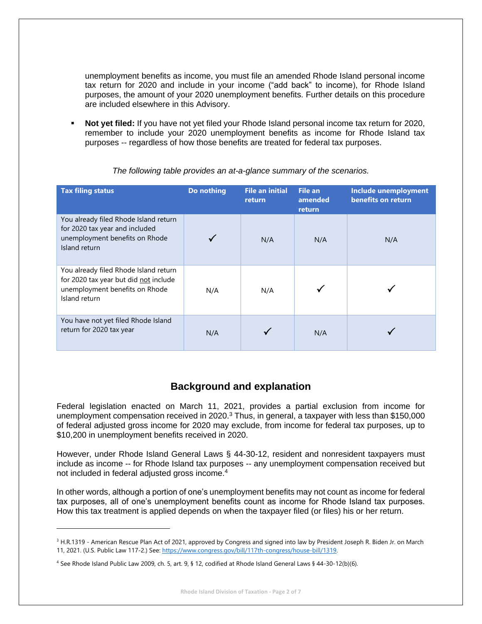unemployment benefits as income, you must file an amended Rhode Island personal income tax return for 2020 and include in your income ("add back" to income), for Rhode Island purposes, the amount of your 2020 unemployment benefits. Further details on this procedure are included elsewhere in this Advisory.

**Not yet filed:** If you have not yet filed your Rhode Island personal income tax return for 2020, remember to include your 2020 unemployment benefits as income for Rhode Island tax purposes -- regardless of how those benefits are treated for federal tax purposes.

| <b>Tax filing status</b>                                                                                                          | Do nothing | <b>File an initial</b><br>return | <b>File an</b><br>amended<br>return | Include unemployment<br>benefits on return |
|-----------------------------------------------------------------------------------------------------------------------------------|------------|----------------------------------|-------------------------------------|--------------------------------------------|
| You already filed Rhode Island return<br>for 2020 tax year and included<br>unemployment benefits on Rhode<br>Island return        |            | N/A                              | N/A                                 | N/A                                        |
| You already filed Rhode Island return<br>for 2020 tax year but did not include<br>unemployment benefits on Rhode<br>Island return | N/A        | N/A                              |                                     |                                            |
| You have not yet filed Rhode Island<br>return for 2020 tax year                                                                   | N/A        |                                  | N/A                                 |                                            |

*The following table provides an at-a-glance summary of the scenarios.*

## **Background and explanation**

Federal legislation enacted on March 11, 2021, provides a partial exclusion from income for unemployment compensation received in 2020.<sup>3</sup> Thus, in general, a taxpayer with less than \$150,000 of federal adjusted gross income for 2020 may exclude, from income for federal tax purposes, up to \$10,200 in unemployment benefits received in 2020.

However, under Rhode Island General Laws § 44-30-12, resident and nonresident taxpayers must include as income -- for Rhode Island tax purposes -- any unemployment compensation received but not included in federal adjusted gross income.<sup>4</sup>

In other words, although a portion of one's unemployment benefits may not count as income for federal tax purposes, all of one's unemployment benefits count as income for Rhode Island tax purposes. How this tax treatment is applied depends on when the taxpayer filed (or files) his or her return.

<sup>&</sup>lt;sup>3</sup> H.R.1319 - American Rescue Plan Act of 2021, approved by Congress and signed into law by President Joseph R. Biden Jr. on March 11, 2021. (U.S. Public Law 117-2.) See: [https://www.congress.gov/bill/117th-congress/house-bill/1319.](https://www.congress.gov/bill/117th-congress/house-bill/1319)

<sup>4</sup> See Rhode Island Public Law 2009, ch. 5, art. 9, § 12, codified at Rhode Island General Laws § 44-30-12(b)(6).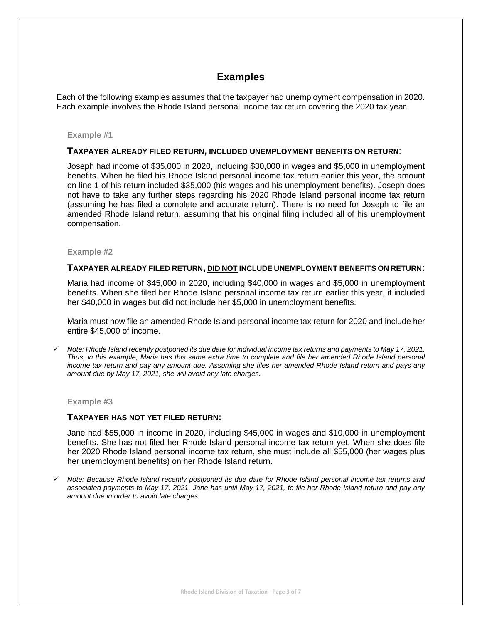## **Examples**

Each of the following examples assumes that the taxpayer had unemployment compensation in 2020. Each example involves the Rhode Island personal income tax return covering the 2020 tax year.

#### **Example #1**

#### **TAXPAYER ALREADY FILED RETURN, INCLUDED UNEMPLOYMENT BENEFITS ON RETURN**:

Joseph had income of \$35,000 in 2020, including \$30,000 in wages and \$5,000 in unemployment benefits. When he filed his Rhode Island personal income tax return earlier this year, the amount on line 1 of his return included \$35,000 (his wages and his unemployment benefits). Joseph does not have to take any further steps regarding his 2020 Rhode Island personal income tax return (assuming he has filed a complete and accurate return). There is no need for Joseph to file an amended Rhode Island return, assuming that his original filing included all of his unemployment compensation.

#### **Example #2**

#### **TAXPAYER ALREADY FILED RETURN, DID NOT INCLUDE UNEMPLOYMENT BENEFITS ON RETURN:**

Maria had income of \$45,000 in 2020, including \$40,000 in wages and \$5,000 in unemployment benefits. When she filed her Rhode Island personal income tax return earlier this year, it included her \$40,000 in wages but did not include her \$5,000 in unemployment benefits.

Maria must now file an amended Rhode Island personal income tax return for 2020 and include her entire \$45,000 of income.

✓ *Note: Rhode Island recently postponed its due date for individual income tax returns and payments to May 17, 2021. Thus, in this example, Maria has this same extra time to complete and file her amended Rhode Island personal income tax return and pay any amount due. Assuming she files her amended Rhode Island return and pays any amount due by May 17, 2021, she will avoid any late charges.*

#### **Example #3**

### **TAXPAYER HAS NOT YET FILED RETURN:**

Jane had \$55,000 in income in 2020, including \$45,000 in wages and \$10,000 in unemployment benefits. She has not filed her Rhode Island personal income tax return yet. When she does file her 2020 Rhode Island personal income tax return, she must include all \$55,000 (her wages plus her unemployment benefits) on her Rhode Island return.

✓ *Note: Because Rhode Island recently postponed its due date for Rhode Island personal income tax returns and associated payments to May 17, 2021, Jane has until May 17, 2021, to file her Rhode Island return and pay any amount due in order to avoid late charges.*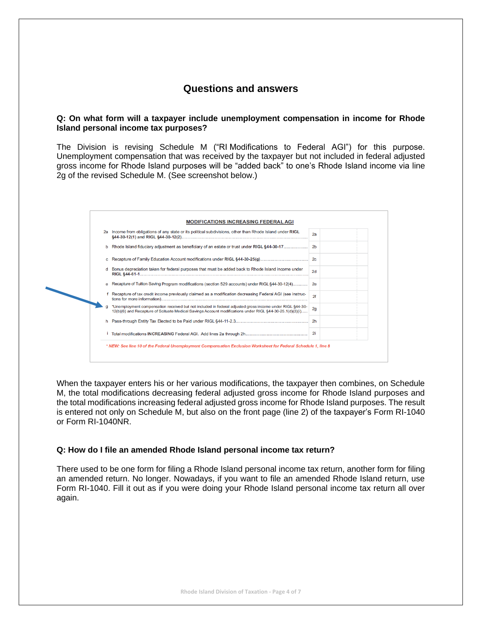## **Questions and answers**

### **Q: On what form will a taxpayer include unemployment compensation in income for Rhode Island personal income tax purposes?**

The Division is revising Schedule M ("RI Modifications to Federal AGI") for this purpose. Unemployment compensation that was received by the taxpayer but not included in federal adjusted gross income for Rhode Island purposes will be "added back" to one's Rhode Island income via line 2g of the revised Schedule M. (See screenshot below.)



When the taxpayer enters his or her various modifications, the taxpayer then combines, on Schedule M, the total modifications decreasing federal adjusted gross income for Rhode Island purposes and the total modifications increasing federal adjusted gross income for Rhode Island purposes. The result is entered not only on Schedule M, but also on the front page (line 2) of the taxpayer's Form RI-1040 or Form RI-1040NR.

### **Q: How do I file an amended Rhode Island personal income tax return?**

There used to be one form for filing a Rhode Island personal income tax return, another form for filing an amended return. No longer. Nowadays, if you want to file an amended Rhode Island return, use Form RI-1040. Fill it out as if you were doing your Rhode Island personal income tax return all over again.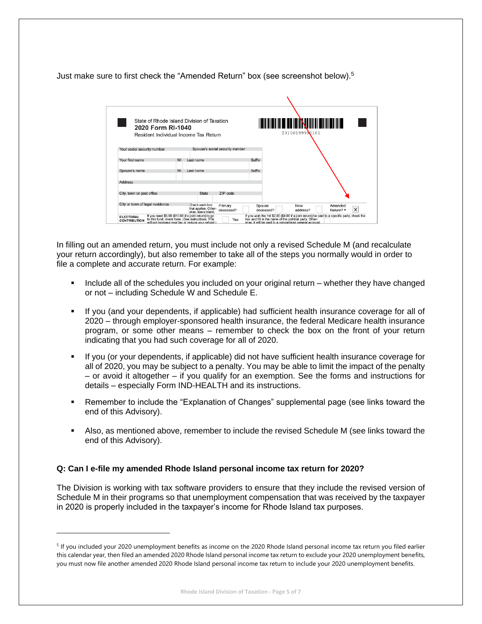Just make sure to first check the "Amended Return" box (see screenshot below).<sup>5</sup>

| State of Rhode Island Division of Taxation<br>2020 Form RI-1040<br>Resident Individual Income Tax Return |    |                                                                                                                                                                 |                                 |                     | I KINI DI KUTHA DI KATA DI KATA LA MASA DI KUTHA DI KUTHA DI KUTHA DI KUTHA DI KUTHA DI KUTHA DI KUTHA DI KUTH<br>20100199990101                                                                                |              |
|----------------------------------------------------------------------------------------------------------|----|-----------------------------------------------------------------------------------------------------------------------------------------------------------------|---------------------------------|---------------------|-----------------------------------------------------------------------------------------------------------------------------------------------------------------------------------------------------------------|--------------|
| Your social security number                                                                              |    |                                                                                                                                                                 | Spouse's social security number |                     |                                                                                                                                                                                                                 |              |
| Your first name                                                                                          | MI | Last name                                                                                                                                                       |                                 | Suffix              |                                                                                                                                                                                                                 |              |
| Spouse's name                                                                                            | MI | Last name                                                                                                                                                       |                                 | Suffix              |                                                                                                                                                                                                                 |              |
| <b>Address</b>                                                                                           |    |                                                                                                                                                                 |                                 |                     |                                                                                                                                                                                                                 |              |
| City, town or post office                                                                                |    | <b>State</b>                                                                                                                                                    | ZIP code                        |                     |                                                                                                                                                                                                                 |              |
| City or town of legal residence                                                                          |    | Check each box<br>that applies. Other-<br>wise, leave blank.                                                                                                    | Primary<br>deceased?            | Spouse<br>deceased? | New<br>Amended<br>Return? *<br>address?                                                                                                                                                                         | $\mathsf{X}$ |
| <b>ELECTORAL</b><br><b>CONTRIBUTION</b>                                                                  |    | If you want \$5.00 (\$10.00 if a joint return) to go<br>to this fund, check here. (See instructions. This<br>will not increase your tax or reduce your refund.) | Yes                             |                     | If you wish the 1st \$2.00 (\$4.00 if a joint return) be paid to a specific party, check the box and fill in the name of the political party. Other-<br>wise, it will be paid to a nonpartisan general account. |              |

In filling out an amended return, you must include not only a revised Schedule M (and recalculate your return accordingly), but also remember to take all of the steps you normally would in order to file a complete and accurate return. For example:

- Include all of the schedules you included on your original return whether they have changed or not – including Schedule W and Schedule E.
- If you (and your dependents, if applicable) had sufficient health insurance coverage for all of 2020 – through employer-sponsored health insurance, the federal Medicare health insurance program, or some other means – remember to check the box on the front of your return indicating that you had such coverage for all of 2020.
- If you (or your dependents, if applicable) did not have sufficient health insurance coverage for all of 2020, you may be subject to a penalty. You may be able to limit the impact of the penalty – or avoid it altogether – if you qualify for an exemption. See the forms and instructions for details – especially Form IND-HEALTH and its instructions.
- Remember to include the "Explanation of Changes" supplemental page (see links toward the end of this Advisory).
- **EXECT** Also, as mentioned above, remember to include the revised Schedule M (see links toward the end of this Advisory).

## **Q: Can I e-file my amended Rhode Island personal income tax return for 2020?**

The Division is working with tax software providers to ensure that they include the revised version of Schedule M in their programs so that unemployment compensation that was received by the taxpayer in 2020 is properly included in the taxpayer's income for Rhode Island tax purposes.

<sup>&</sup>lt;sup>5</sup> If you included your 2020 unemployment benefits as income on the 2020 Rhode Island personal income tax return you filed earlier this calendar year, then filed an amended 2020 Rhode Island personal income tax return to exclude your 2020 unemployment benefits, you must now file another amended 2020 Rhode Island personal income tax return to include your 2020 unemployment benefits.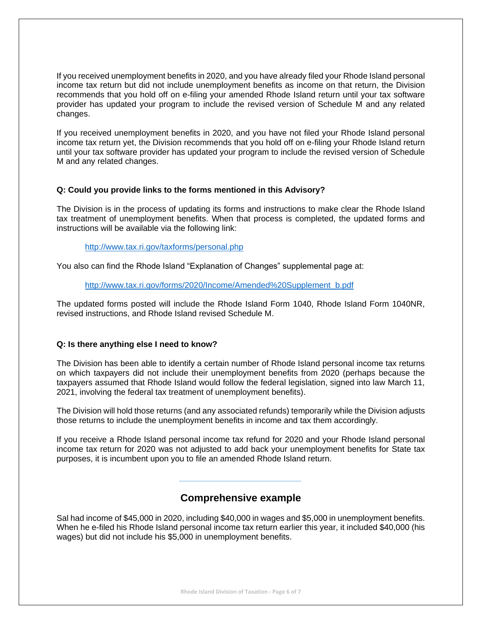If you received unemployment benefits in 2020, and you have already filed your Rhode Island personal income tax return but did not include unemployment benefits as income on that return, the Division recommends that you hold off on e-filing your amended Rhode Island return until your tax software provider has updated your program to include the revised version of Schedule M and any related changes.

If you received unemployment benefits in 2020, and you have not filed your Rhode Island personal income tax return yet, the Division recommends that you hold off on e-filing your Rhode Island return until your tax software provider has updated your program to include the revised version of Schedule M and any related changes.

### **Q: Could you provide links to the forms mentioned in this Advisory?**

The Division is in the process of updating its forms and instructions to make clear the Rhode Island tax treatment of unemployment benefits. When that process is completed, the updated forms and instructions will be available via the following link:

<http://www.tax.ri.gov/taxforms/personal.php>

You also can find the Rhode Island "Explanation of Changes" supplemental page at:

[http://www.tax.ri.gov/forms/2020/Income/Amended%20Supplement\\_b.pdf](http://www.tax.ri.gov/forms/2020/Income/Amended%20Supplement_b.pdf)

The updated forms posted will include the Rhode Island Form 1040, Rhode Island Form 1040NR, revised instructions, and Rhode Island revised Schedule M.

## **Q: Is there anything else I need to know?**

The Division has been able to identify a certain number of Rhode Island personal income tax returns on which taxpayers did not include their unemployment benefits from 2020 (perhaps because the taxpayers assumed that Rhode Island would follow the federal legislation, signed into law March 11, 2021, involving the federal tax treatment of unemployment benefits).

The Division will hold those returns (and any associated refunds) temporarily while the Division adjusts those returns to include the unemployment benefits in income and tax them accordingly.

If you receive a Rhode Island personal income tax refund for 2020 and your Rhode Island personal income tax return for 2020 was not adjusted to add back your unemployment benefits for State tax purposes, it is incumbent upon you to file an amended Rhode Island return.

## **Comprehensive example**

Sal had income of \$45,000 in 2020, including \$40,000 in wages and \$5,000 in unemployment benefits. When he e-filed his Rhode Island personal income tax return earlier this year, it included \$40,000 (his wages) but did not include his \$5,000 in unemployment benefits.